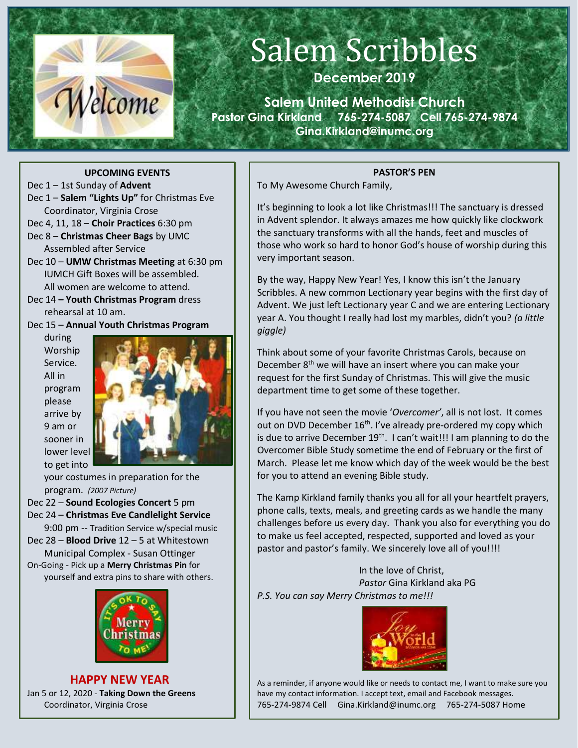

# Salem Scribbles

**December 2019**

**Salem United Methodist Church Pastor Gina Kirkland 765-274-5087 Cell 765-274-9874 Gina.Kirkland@inumc.org**

#### **UPCOMING EVENTS**

- Dec 1 1st Sunday of **Advent**
- Dec 1 **Salem "Lights Up"** for Christmas Eve Coordinator, Virginia Crose
- Dec 4, 11, 18 **Choir Practices** 6:30 pm
- Dec 8 **Christmas Cheer Bags** by UMC Assembled after Service
- Dec 10 **UMW Christmas Meeting** at 6:30 pm IUMCH Gift Boxes will be assembled. All women are welcome to attend.
- Dec 14 **– Youth Christmas Program** dress rehearsal at 10 am.
- Dec 15 **Annual Youth Christmas Program**

during Worship Service. All in program please arrive by 9 am or sooner in lower level to get into



your costumes in preparation for the program. *(2007 Picture)* Dec 22 – **Sound Ecologies Concert** 5 pm Dec 24 – **Christmas Eve Candlelight Service** 9:00 pm -- Tradition Service w/special music Dec 28 – **Blood Drive** 12 – 5 at Whitestown Municipal Complex - Susan Ottinger On-Going - Pick up a **Merry Christmas Pin** for yourself and extra pins to share with others.



 **HAPPY NEW YEAR** Jan 5 or 12, 2020 - **Taking Down the Greens** Coordinator, Virginia Crose

#### **PASTOR'S PEN**

To My Awesome Church Family,

It's beginning to look a lot like Christmas!!! The sanctuary is dressed in Advent splendor. It always amazes me how quickly like clockwork the sanctuary transforms with all the hands, feet and muscles of those who work so hard to honor God's house of worship during this very important season.

By the way, Happy New Year! Yes, I know this isn't the January Scribbles. A new common Lectionary year begins with the first day of Advent. We just left Lectionary year C and we are entering Lectionary year A. You thought I really had lost my marbles, didn't you? *(a little giggle)*

Think about some of your favorite Christmas Carols, because on December 8<sup>th</sup> we will have an insert where you can make your request for the first Sunday of Christmas. This will give the music department time to get some of these together.

If you have not seen the movie '*Overcomer'*, all is not lost. It comes out on DVD December 16<sup>th</sup>. I've already pre-ordered my copy which is due to arrive December  $19<sup>th</sup>$ . I can't wait!!! I am planning to do the Overcomer Bible Study sometime the end of February or the first of March. Please let me know which day of the week would be the best for you to attend an evening Bible study.

The Kamp Kirkland family thanks you all for all your heartfelt prayers, phone calls, texts, meals, and greeting cards as we handle the many challenges before us every day. Thank you also for everything you do to make us feel accepted, respected, supported and loved as your pastor and pastor's family. We sincerely love all of you!!!!

In the love of Christ, *Pastor* Gina Kirkland aka PG *P.S. You can say Merry Christmas to me!!!*



As a reminder, if anyone would like or needs to contact me, I want to make sure you have my contact information. I accept text, email and Facebook messages. 765-274-9874 Cell Gina.Kirkland@inumc.org 765-274-5087 Home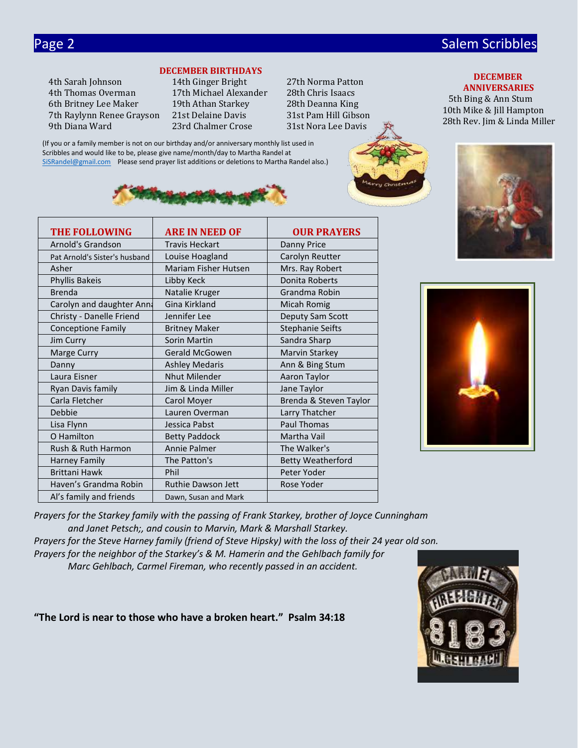## Page 2 Salem Scribbles and Contract Contract Contract Contract Contract Contract Contract Contract Contract Co

 **DECEMBER ANNIVERSARIES** 5th Bing & Ann Stum 10th Mike & Jill Hampton

**DECEMBER BIRTHDAYS**

(If you or a family member is not on our birthday and/or anniversary monthly list used in Scribbles and would like to be, please give name/month/day to Martha Randel at

[SiSRandel@gmail.com](mailto:SiSRandel@gmail.com) Please send prayer list additions or deletions to Martha Randel also.)

4th Thomas Overman 17th Michael Alexander 28th Chris Isaacs 6th Britney Lee Maker 19th Athan Starkey 28th Deanna King 7th Raylynn Renee Grayson 21st Delaine Davis 31st Pam Hill Gibson 9th Diana Ward 23rd Chalmer Crose 31st Nora Lee [Davis](https://www.faithclipart.com/fca/affiliate.do?id=58&coupon=christmas)

4th Sarah Johnson 14th Ginger Bright 27th Norma Patton



| <b>THE FOLLOWING</b>          | <b>ARE IN NEED OF</b>       | <b>OUR PRAYERS</b>       |
|-------------------------------|-----------------------------|--------------------------|
| Arnold's Grandson             | <b>Travis Heckart</b>       | <b>Danny Price</b>       |
| Pat Arnold's Sister's husband | Louise Hoagland             | Carolyn Reutter          |
| Asher                         | <b>Mariam Fisher Hutsen</b> | Mrs. Ray Robert          |
| Phyllis Bakeis                | Libby Keck                  | Donita Roberts           |
| <b>Brenda</b>                 | Natalie Kruger              | Grandma Robin            |
| Carolyn and daughter Anna     | Gina Kirkland               | Micah Romig              |
| Christy - Danelle Friend      | Jennifer Lee                | Deputy Sam Scott         |
| <b>Conceptione Family</b>     | <b>Britney Maker</b>        | <b>Stephanie Seifts</b>  |
| Jim Curry                     | Sorin Martin                | Sandra Sharp             |
| Marge Curry                   | Gerald McGowen              | Marvin Starkey           |
| Danny                         | <b>Ashley Medaris</b>       | Ann & Bing Stum          |
| Laura Eisner                  | <b>Nhut Milender</b>        | Aaron Taylor             |
| Ryan Davis family             | Jim & Linda Miller          | Jane Taylor              |
| Carla Fletcher                | Carol Moyer                 | Brenda & Steven Taylor   |
| Debbie                        | Lauren Overman              | Larry Thatcher           |
| Lisa Flynn                    | Jessica Pabst               | <b>Paul Thomas</b>       |
| O Hamilton                    | <b>Betty Paddock</b>        | Martha Vail              |
| Rush & Ruth Harmon            | <b>Annie Palmer</b>         | The Walker's             |
| <b>Harney Family</b>          | The Patton's                | <b>Betty Weatherford</b> |
| <b>Brittani Hawk</b>          | Phil                        | Peter Yoder              |
| Haven's Grandma Robin         | <b>Ruthie Dawson Jett</b>   | Rose Yoder               |
| Al's family and friends       | Dawn, Susan and Mark        |                          |



*Prayers for the Starkey family with the passing of Frank Starkey, brother of Joyce Cunningham and Janet Petsch;, and cousin to Marvin, Mark & Marshall Starkey. Prayers for the Steve Harney family (friend of Steve Hipsky) with the loss of their 24 year old son. Prayers for the neighbor of the Starkey's & M. Hamerin and the Gehlbach family for Marc Gehlbach, Carmel Fireman, who recently passed in an accident.*

**"The Lord is near to those who have a broken heart." Psalm 34:18**

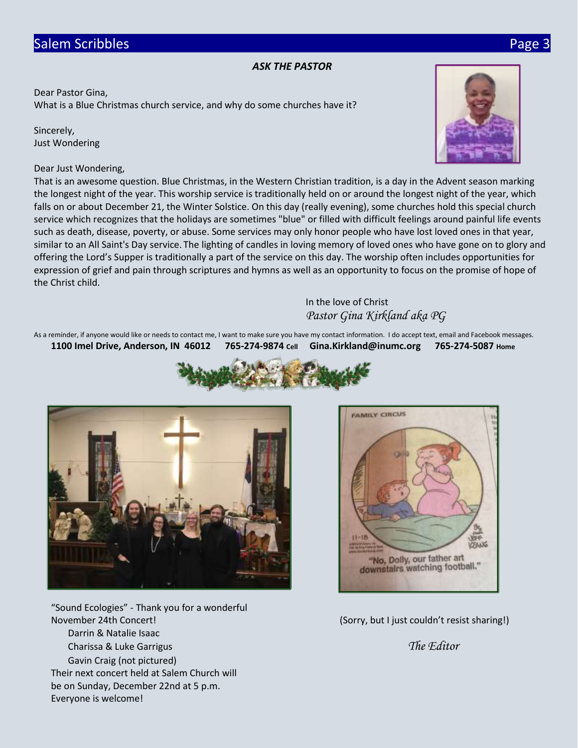#### *ASK THE PASTOR*

Dear Pastor Gina, What is a Blue Christmas church service, and why do some churches have it?

Sincerely, Just Wondering

#### Dear Just Wondering,

That is an awesome question. Blue Christmas, in the Western Christian tradition, is a day in the Advent season marking the longest night of the year. This worship service is traditionally held on or around the longest night of the year, which falls on or about December 21, the Winter Solstice. On this day (really evening), some churches hold this special church service which recognizes that the holidays are sometimes "blue" or filled with difficult feelings around painful life events such as death, disease, poverty, or abuse. Some services may only honor people who have lost loved ones in that year, similar to an All Saint's Day service. The lighting of candles in loving memory of loved ones who have gone on to glory and offering the Lord's Supper is traditionally a part of the service on this day. The worship often includes opportunities for expression of grief and pain through scriptures and hymns as well as an opportunity to focus on the promise of hope of the Christ child.

### In the love of Christ *Pastor Gina Kirkland aka PG*

As a reminder, if anyone would like or needs to contact me, I want to make sure you have my contact information. I do accept text, email and Facebook messages. **1100 Imel Drive, Anderson, IN 46012 765-274-9874 Cell Gina.Kirkland@inumc.org 765-274-5087 Home**





"Sound Ecologies" - Thank you for a wonderful November 24th Concert! (Sorry, but I just couldn't resist sharing!) Darrin & Natalie Isaac Charissa & Luke Garrigus *The Editor* Gavin Craig (not pictured) Their next concert held at Salem Church will be on Sunday, December 22nd at 5 p.m. Everyone is welcome!





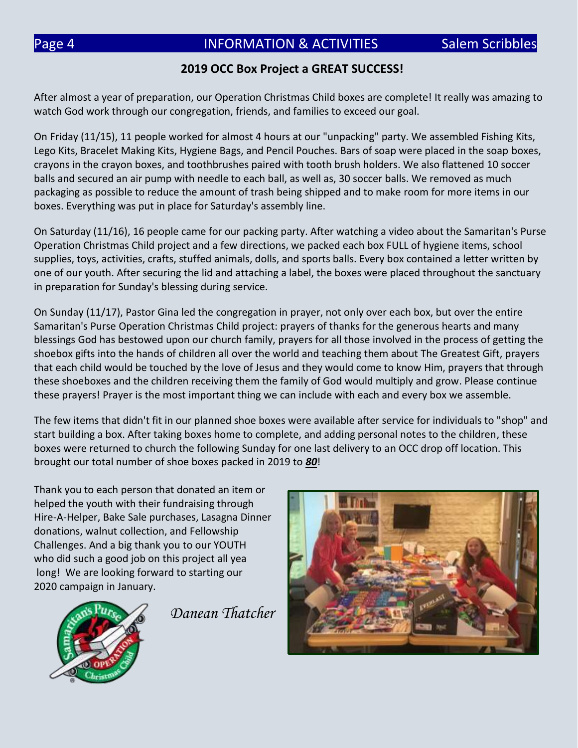### **2019 OCC Box Project a GREAT SUCCESS!**

After almost a year of preparation, our Operation Christmas Child boxes are complete! It really was amazing to watch God work through our congregation, friends, and families to exceed our goal.

On Friday (11/15), 11 people worked for almost 4 hours at our "unpacking" party. We assembled Fishing Kits, Lego Kits, Bracelet Making Kits, Hygiene Bags, and Pencil Pouches. Bars of soap were placed in the soap boxes, crayons in the crayon boxes, and toothbrushes paired with tooth brush holders. We also flattened 10 soccer balls and secured an air pump with needle to each ball, as well as, 30 soccer balls. We removed as much packaging as possible to reduce the amount of trash being shipped and to make room for more items in our boxes. Everything was put in place for Saturday's assembly line.

On Saturday (11/16), 16 people came for our packing party. After watching a video about the Samaritan's Purse Operation Christmas Child project and a few directions, we packed each box FULL of hygiene items, school supplies, toys, activities, crafts, stuffed animals, dolls, and sports balls. Every box contained a letter written by one of our youth. After securing the lid and attaching a label, the boxes were placed throughout the sanctuary in preparation for Sunday's blessing during service.

On Sunday (11/17), Pastor Gina led the congregation in prayer, not only over each box, but over the entire Samaritan's Purse Operation Christmas Child project: prayers of thanks for the generous hearts and many blessings God has bestowed upon our church family, prayers for all those involved in the process of getting the shoebox gifts into the hands of children all over the world and teaching them about The Greatest Gift, prayers that each child would be touched by the love of Jesus and they would come to know Him, prayers that through these shoeboxes and the children receiving them the family of God would multiply and grow. Please continue these prayers! Prayer is the most important thing we can include with each and every box we assemble.

The few items that didn't fit in our planned shoe boxes were available after service for individuals to "shop" and start building a box. After taking boxes home to complete, and adding personal notes to the children, these boxes were returned to church the following Sunday for one last delivery to an OCC drop off location. This brought our total number of shoe boxes packed in 2019 to *80*!

Thank you to each person that donated an item or helped the youth with their fundraising through Hire-A-Helper, Bake Sale purchases, Lasagna Dinner donations, walnut collection, and Fellowship Challenges. And a big thank you to our YOUTH who did such a good job on this project all yea long! We are looking forward to starting our 2020 campaign in January.



*Danean Thatcher*

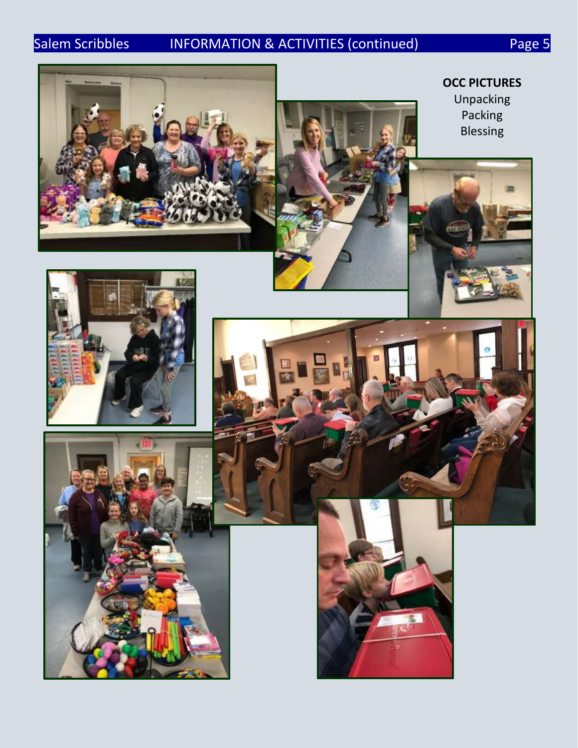# Salem Scribbles INFORMATION & ACTIVITIES (continued) Page 5



**OCC PICTURES** Unpacking Packing Blessing





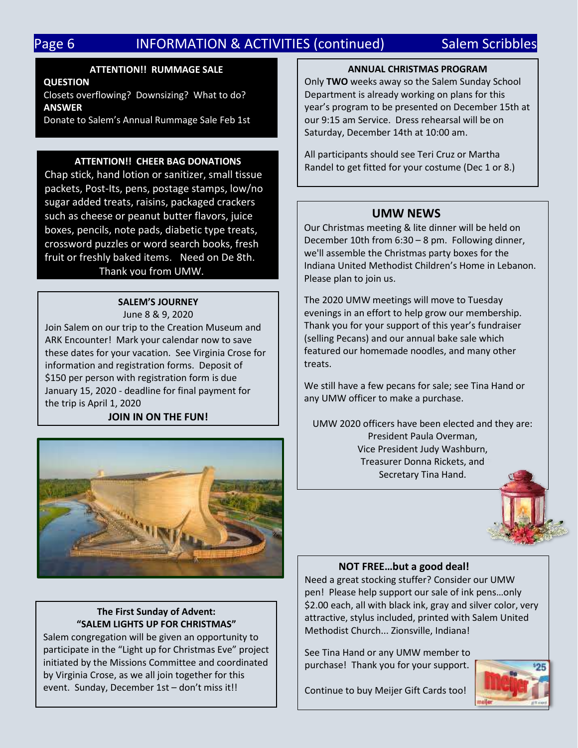# Page 6 **INFORMATION & ACTIVITIES (continued)** Salem Scribbles

#### **ATTENTION!! RUMMAGE SALE**

**QUESTION**

Closets overflowing? Downsizing? What to do? **ANSWER**

Donate to Salem's Annual Rummage Sale Feb 1st

#### **ATTENTION!! CHEER BAG DONATIONS**

Chap stick, hand lotion or sanitizer, small tissue packets, Post-Its, pens, postage stamps, low/no sugar added treats, raisins, packaged crackers such as cheese or peanut butter flavors, juice boxes, pencils, note pads, diabetic type treats, crossword puzzles or word search books, fresh fruit or freshly baked items. Need on De 8th. Thank you from UMW.

#### **SALEM'S JOURNEY**

June 8 & 9, 2020 Join Salem on our trip to the Creation Museum and ARK Encounter! Mark your calendar now to save these dates for your vacation. See Virginia Crose for information and registration forms. Deposit of \$150 per person with registration form is due January 15, 2020 - deadline for final payment for the trip is April 1, 2020

#### **JOIN IN ON THE FUN!**



#### **The First Sunday of Advent: "SALEM LIGHTS UP FOR CHRISTMAS"**

Salem congregation will be given an opportunity to participate in the "Light up for Christmas Eve" project initiated by the Missions Committee and coordinated by Virginia Crose, as we all join together for this event. Sunday, December 1st – don't miss it!!

#### **ANNUAL CHRISTMAS PROGRAM**

Only **TWO** weeks away so the Salem Sunday School Department is already working on plans for this year's program to be presented on December 15th at our 9:15 am Service. Dress rehearsal will be on Saturday, December 14th at 10:00 am.

All participants should see Teri Cruz or Martha Randel to get fitted for your costume (Dec 1 or 8.)

#### **UMW NEWS**

Our Christmas meeting & lite dinner will be held on December 10th from 6:30 – 8 pm. Following dinner, we'll assemble the Christmas party boxes for the Indiana United Methodist Children's Home in Lebanon. Please plan to join us.

The 2020 UMW meetings will move to Tuesday evenings in an effort to help grow our membership. Thank you for your support of this year's fundraiser (selling Pecans) and our annual bake sale which featured our homemade noodles, and many other treats.

We still have a few pecans for sale; see Tina Hand or any UMW officer to make a purchase.

UMW 2020 officers have been elected and they are: President Paula Overman, Vice President Judy Washburn, Treasurer Donna Rickets, and Secretary Tina Hand.



#### **NOT FREE…but a good deal!**

Need a great stocking stuffer? Consider our UMW pen! Please help support our sale of ink pens…only \$2.00 each, all with black ink, gray and silver color, very attractive, stylus included, printed with Salem United Methodist Church... Zionsville, Indiana!

See Tina Hand or any UMW member to purchase! Thank you for your support.



Continue to buy Meijer Gift Cards too!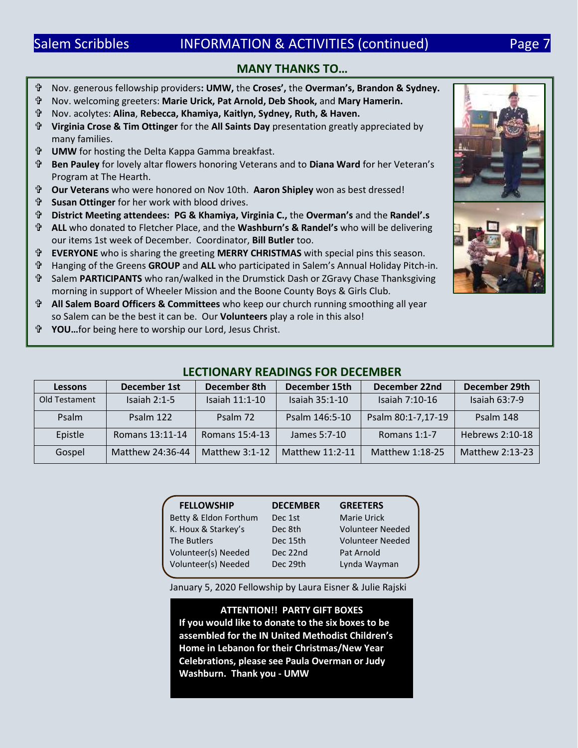# Salem Scribbles **INFORMATION & ACTIVITIES** (continued) Page 7

### **MANY THANKS TO…**

- Nov. generous fellowship providers**: UMW,** the **Croses',** the **Overman's, Brandon & Sydney.** Nov. welcoming greeters: **Marie Urick, Pat Arnold, Deb Shook,** and **Mary Hamerin.** Nov. acolytes: **Alina**, **Rebecca, Khamiya, Kaitlyn, Sydney, Ruth, & Haven. Virginia Crose & Tim Ottinger** for the **All Saints Day** presentation greatly appreciated by many families. **UMW** for hosting the Delta Kappa Gamma breakfast. **Ben Pauley** for lovely altar flowers honoring Veterans and to **Diana Ward** for her Veteran's Program at The Hearth. **Our Veterans** who were honored on Nov 10th. **Aaron Shipley** won as best dressed! **Susan Ottinger** for her work with blood drives. **District Meeting attendees: PG & Khamiya, Virginia C.,** the **Overman's** and the **Randel'.s ALL** who donated to Fletcher Place, and the **Washburn's & Randel's** who will be delivering our items 1st week of December. Coordinator, **Bill Butler** too. **EVERYONE** who is sharing the greeting **MERRY CHRISTMAS** with special pins this season. Hanging of the Greens **GROUP** and **ALL** who participated in Salem's Annual Holiday Pitch-in. Salem **PARTICIPANTS** who ran/walked in the Drumstick Dash or ZGravy Chase Thanksgiving morning in support of Wheeler Mission and the Boone County Boys & Girls Club. **All Salem Board Officers & Committees** who keep our church running smoothing all year so Salem can be the best it can be. Our **Volunteers** play a role in this also!
- **YOU…**for being here to worship our Lord, Jesus Christ.

### **LECTIONARY READINGS FOR DECEMBER**

| <b>Lessons</b> | <b>December 1st</b> | December 8th     | December 15th    | December 22nd      | December 29th   |
|----------------|---------------------|------------------|------------------|--------------------|-----------------|
| Old Testament  | Isaiah $2:1-5$      | Isaiah 11:1-10   | Isaiah $35:1-10$ | Isaiah 7:10-16     | Isaiah $63:7-9$ |
| Psalm          | Psalm 122           | Psalm 72         | Psalm 146:5-10   | Psalm 80:1-7,17-19 | Psalm 148       |
| Epistle        | Romans 13:11-14     | Romans 15:4-13   | James 5:7-10     | Romans $1:1-7$     | Hebrews 2:10-18 |
| Gospel         | Matthew 24:36-44    | Matthew $3:1-12$ | Matthew 11:2-11  | Matthew 1:18-25    | Matthew 2:13-23 |

| <b>FELLOWSHIP</b>     | <b>DECEMBER</b> | <b>GREETERS</b>         |
|-----------------------|-----------------|-------------------------|
| Betty & Eldon Forthum | Dec 1st         | <b>Marie Urick</b>      |
| K. Houx & Starkey's   | Dec 8th         | <b>Volunteer Needed</b> |
| The Butlers           | Dec 15th        | <b>Volunteer Needed</b> |
| Volunteer(s) Needed   | Dec 22nd        | Pat Arnold              |
| Volunteer(s) Needed   | Dec 29th        | Lynda Wayman            |
|                       |                 |                         |

January 5, 2020 Fellowship by Laura Eisner & Julie Rajski

**ATTENTION!! PARTY GIFT BOXES If you would like to donate to the six boxes to be assembled for the IN United Methodist Children's Home in Lebanon for their Christmas/New Year Celebrations, please see Paula Overman or Judy Washburn. Thank you - UMW**